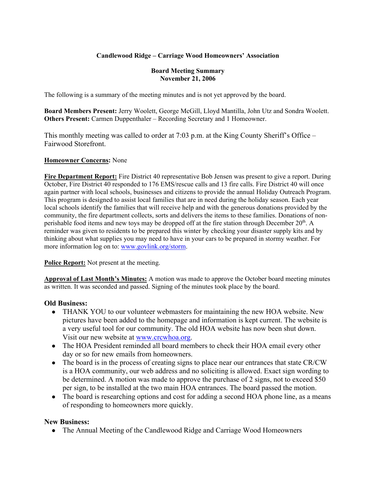## **Candlewood Ridge – Carriage Wood Homeowners' Association**

#### **Board Meeting Summary November 21, 2006**

The following is a summary of the meeting minutes and is not yet approved by the board.

**Board Members Present:** Jerry Woolett, George McGill, Lloyd Mantilla, John Utz and Sondra Woolett. **Others Present:** Carmen Duppenthaler – Recording Secretary and 1 Homeowner.

This monthly meeting was called to order at 7:03 p.m. at the King County Sheriff's Office – Fairwood Storefront.

#### **Homeowner Concerns:** None

**Fire Department Report:** Fire District 40 representative Bob Jensen was present to give a report. During October, Fire District 40 responded to 176 EMS/rescue calls and 13 fire calls. Fire District 40 will once again partner with local schools, businesses and citizens to provide the annual Holiday Outreach Program. This program is designed to assist local families that are in need during the holiday season. Each year local schools identify the families that will receive help and with the generous donations provided by the community, the fire department collects, sorts and delivers the items to these families. Donations of nonperishable food items and new toys may be dropped off at the fire station through December 20<sup>th</sup>. A reminder was given to residents to be prepared this winter by checking your disaster supply kits and by thinking about what supplies you may need to have in your cars to be prepared in stormy weather. For more information log on to: www.govlink.org/storm.

**Police Report:** Not present at the meeting.

**Approval of Last Month's Minutes:** A motion was made to approve the October board meeting minutes as written. It was seconded and passed. Signing of the minutes took place by the board.

## **Old Business:**

- THANK YOU to our volunteer webmasters for maintaining the new HOA website. New pictures have been added to the homepage and information is kept current. The website is a very useful tool for our community. The old HOA website has now been shut down. Visit our new website at www.crcwhoa.org.
- The HOA President reminded all board members to check their HOA email every other day or so for new emails from homeowners.
- The board is in the process of creating signs to place near our entrances that state CR/CW is a HOA community, our web address and no soliciting is allowed. Exact sign wording to be determined. A motion was made to approve the purchase of 2 signs, not to exceed \$50 per sign, to be installed at the two main HOA entrances. The board passed the motion.
- The board is researching options and cost for adding a second HOA phone line, as a means of responding to homeowners more quickly.

## **New Business:**

• The Annual Meeting of the Candlewood Ridge and Carriage Wood Homeowners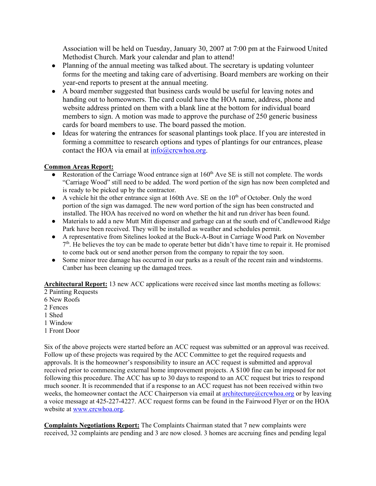Association will be held on Tuesday, January 30, 2007 at 7:00 pm at the Fairwood United Methodist Church. Mark your calendar and plan to attend!

- Planning of the annual meeting was talked about. The secretary is updating volunteer forms for the meeting and taking care of advertising. Board members are working on their year-end reports to present at the annual meeting.
- A board member suggested that business cards would be useful for leaving notes and handing out to homeowners. The card could have the HOA name, address, phone and website address printed on them with a blank line at the bottom for individual board members to sign. A motion was made to approve the purchase of 250 generic business cards for board members to use. The board passed the motion.
- Ideas for watering the entrances for seasonal plantings took place. If you are interested in forming a committee to research options and types of plantings for our entrances, please contact the HOA via email at info@crcwhoa.org.

## **Common Areas Report:**

- Restoration of the Carriage Wood entrance sign at  $160<sup>th</sup>$  Ave SE is still not complete. The words "Carriage Wood" still need to be added. The word portion of the sign has now been completed and is ready to be picked up by the contractor.
- $\bullet$  A vehicle hit the other entrance sign at 160th Ave. SE on the 10<sup>th</sup> of October. Only the word portion of the sign was damaged. The new word portion of the sign has been constructed and installed. The HOA has received no word on whether the hit and run driver has been found.
- Materials to add a new Mutt Mitt dispenser and garbage can at the south end of Candlewood Ridge Park have been received. They will be installed as weather and schedules permit.
- A representative from Sitelines looked at the Buck-A-Bout in Carriage Wood Park on November  $7<sup>th</sup>$ . He believes the toy can be made to operate better but didn't have time to repair it. He promised to come back out or send another person from the company to repair the toy soon.
- Some minor tree damage has occurred in our parks as a result of the recent rain and windstorms. Canber has been cleaning up the damaged trees.

**Architectural Report:** 13 new ACC applications were received since last months meeting as follows:

- 2 Painting Requests
- 6 New Roofs
- 2 Fences
- 1 Shed
- 1 Window
- 1 Front Door

Six of the above projects were started before an ACC request was submitted or an approval was received. Follow up of these projects was required by the ACC Committee to get the required requests and approvals. It is the homeowner's responsibility to insure an ACC request is submitted and approval received prior to commencing external home improvement projects. A \$100 fine can be imposed for not following this procedure. The ACC has up to 30 days to respond to an ACC request but tries to respond much sooner. It is recommended that if a response to an ACC request has not been received within two weeks, the homeowner contact the ACC Chairperson via email at architecture $@c$ crcwhoa.org or by leaving a voice message at 425-227-4227. ACC request forms can be found in the Fairwood Flyer or on the HOA website at www.crcwhoa.org.

**Complaints Negotiations Report:** The Complaints Chairman stated that 7 new complaints were received, 32 complaints are pending and 3 are now closed. 3 homes are accruing fines and pending legal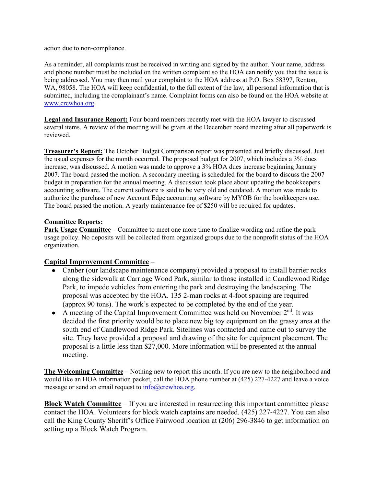action due to non-compliance.

As a reminder, all complaints must be received in writing and signed by the author. Your name, address and phone number must be included on the written complaint so the HOA can notify you that the issue is being addressed. You may then mail your complaint to the HOA address at P.O. Box 58397, Renton, WA, 98058. The HOA will keep confidential, to the full extent of the law, all personal information that is submitted, including the complainant's name. Complaint forms can also be found on the HOA website at www.crcwhoa.org.

Legal and Insurance Report: Four board members recently met with the HOA lawyer to discussed several items. A review of the meeting will be given at the December board meeting after all paperwork is reviewed.

**Treasurer's Report:** The October Budget Comparison report was presented and briefly discussed. Just the usual expenses for the month occurred. The proposed budget for 2007, which includes a 3% dues increase, was discussed. A motion was made to approve a 3% HOA dues increase beginning January 2007. The board passed the motion. A secondary meeting is scheduled for the board to discuss the 2007 budget in preparation for the annual meeting. A discussion took place about updating the bookkeepers accounting software. The current software is said to be very old and outdated. A motion was made to authorize the purchase of new Account Edge accounting software by MYOB for the bookkeepers use. The board passed the motion. A yearly maintenance fee of \$250 will be required for updates.

#### **Committee Reports:**

**Park Usage Committee** – Committee to meet one more time to finalize wording and refine the park usage policy. No deposits will be collected from organized groups due to the nonprofit status of the HOA organization.

## **Capital Improvement Committee** –

- Canber (our landscape maintenance company) provided a proposal to install barrier rocks along the sidewalk at Carriage Wood Park, similar to those installed in Candlewood Ridge Park, to impede vehicles from entering the park and destroying the landscaping. The proposal was accepted by the HOA. 135 2-man rocks at 4-foot spacing are required (approx 90 tons). The work's expected to be completed by the end of the year.
- A meeting of the Capital Improvement Committee was held on November  $2<sup>nd</sup>$ . It was decided the first priority would be to place new big toy equipment on the grassy area at the south end of Candlewood Ridge Park. Sitelines was contacted and came out to survey the site. They have provided a proposal and drawing of the site for equipment placement. The proposal is a little less than \$27,000. More information will be presented at the annual meeting.

**The Welcoming Committee** – Nothing new to report this month. If you are new to the neighborhood and would like an HOA information packet, call the HOA phone number at (425) 227-4227 and leave a voice message or send an email request to  $info@crcwhoa.org$ .

**Block Watch Committee** – If you are interested in resurrecting this important committee please contact the HOA. Volunteers for block watch captains are needed. (425) 227-4227. You can also call the King County Sheriff's Office Fairwood location at (206) 296-3846 to get information on setting up a Block Watch Program.